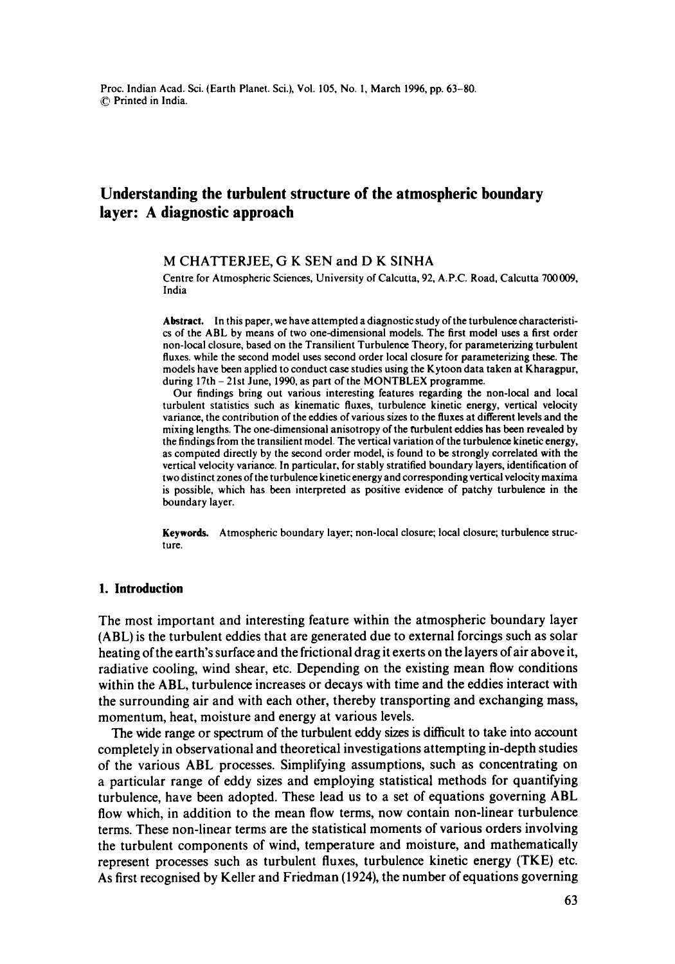# **Understanding the turbulent structure of the atmospheric boundary layer: A diagnostic approach**

**M CHATTERJEE, G K** SEN and **D K** SINHA

Centre for Atmospheric Sciences, University of Calcutta, 92, *A.P.C.* Road, Calcutta 700009, India

Abstract. In this paper, we have attempted a diagnostic study of the turbulence characteristics of the ABL by means of two one-dimensional models. The first model uses a first order non-local closure, based on the Transilient Turbulence Theory, for parameterizing turbulent fluxes, while the second model uses second order local closure for parameterizing these. The models have been applied to conduct case studies using the Kytoon data taken at Kharagpur, during 17th - 21st June, 1990, as part of the MONTBLEX programme.

Our findings bring out various interesting features regarding the non-local and local turbulent statistics such as kinematic fluxes, turbulence kinetic energy, vertical velocity variance, the contribution of the eddies of various sizes to the fluxes at different levels and the mixing lengths. The one-dimensional anisotropy of the turbulent eddies has been revealed by the findings from the transilient model. The vertical variation of the turbulence kinetic energy, as computed directly by the second order model, is found to be strongly correlated with the vertical velocity variance. In particular, for stably stratified boundary layers, identification of two distinct zones of the turbulence kinetic energy and corresponding vertical velocity maxima is possible, which has been interpreted as positive evidence of patchy turbulence in the boundary layer.

**Keywords.** Atmospheric boundary layer; non-local closure; local closure; turbulence structure.

### **1. Introduction**

The most important and interesting feature within the atmospheric boundary layer (ABL) is the turbulent eddies that are generated due to external forcings such as solar heating of the earth's surface and the frictional drag it exerts on the layers of air above it, radiative cooling, wind shear, etc. Depending on the existing mean flow conditions within the ABL, turbulence increases or decays with time and the eddies interact with the surrounding air and with each other, thereby transporting and exchanging mass, momentum, heat, moisture and energy at various levels.

The wide range or spectrum of the turbulent eddy sizes is difficult to take into account completely in observational and theoretical investigations attempting in-depth studies of the various ABL processes. Simplifying assumptions, such as concentrating on a particular range of eddy sizes and employing statistical methods for quantifying turbulence, have been adopted. These lead us to a set of equations governing ABL flow which, in addition to the mean flow terms, now contain non-linear turbulence terms. These non-linear terms are the statistical moments of various orders involving the turbulent components of wind, temperature and moisture, and mathematically represent processes such as turbulent fluxes, turbulence kinetic energy (TKE) etc. As first recognised by Keller and Friedman (1924), the number of equations governing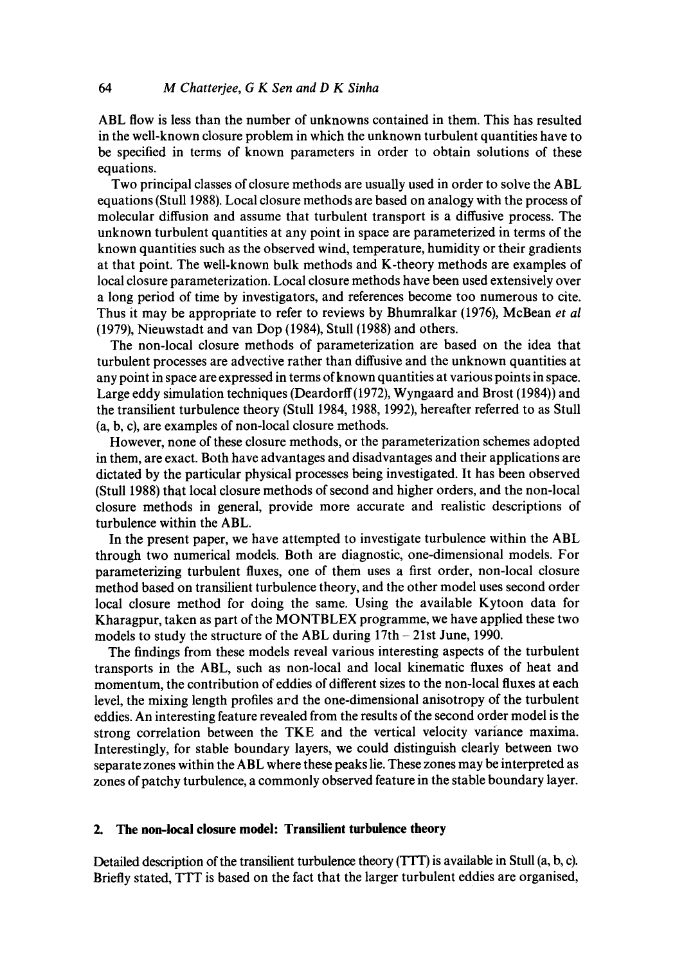ABL flow is less than the number of unknowns contained in them. This has resulted in the well-known closure problem in which the unknown turbulent quantities have to be specified in terms of known parameters in order to obtain solutions of these equations.

Two principal classes of closure methods are usually used in order to solve the ABL equations (Stull 1988). Local closure methods are based on analogy with the process of molecular diffusion and assume that turbulent transport is a diffusive process. The unknown turbulent quantities at any point in space are parameterized in terms of the known quantities such as the observed wind, temperature, humidity or their gradients at that point. The well-known bulk methods and K-theory methods are examples of local closure parameterization. Local closure methods have been used extensively over a long period of time by investigators, and references become too numerous to cite. Thus it may be appropriate to refer to reviews by Bhumralkar (1976), McBean *et al*  (1979), Nieuwstadt and van Dop (1984), Stull (1988) and others.

The non-local closure methods of parameterization are based on the idea that turbulent processes are advective rather than diffusive and the unknown quantities at any point in space are expressed in terms of known quantities at various points in space. Large eddy simulation techniques (Deardorff(1972), Wyngaard and Brost (1984)) and the transilient turbulence theory (Stull 1984, 1988, 1992), hereafter referred to as Stull (a, b, c), are examples of non-local closure methods.

However, none of these closure methods, or the parameterization schemes adopted in them, are exact. Both have advantages and disadvantages and their applications are dictated by the particular physical processes being investigated. It has been observed (Stull 1988) that local closure methods of second and higher orders, and the non-local closure methods in general, provide more accurate and realistic descriptions of turbulence within the ABL.

In the present paper, we have attempted to investigate turbulence within the ABL through two numerical models. Both are diagnostic, one-dimensional models. For parameterizing turbulent fluxes, one of them uses a first order, non-local closure method based on transilient turbulence theory, and the other model uses second order local closure method for doing the same. Using the available Kytoon data for Kharagpur, taken as part of the MONTBLEX programme, we have applied these two models to study the structure of the ABL during  $17th - 21st$  June, 1990.

The findings from these models reveal various interesting aspects of the turbulent transports in the ABL, such as non-local and local kinematic fluxes of heat and momentum, the contribution of eddies of different sizes to the non-local fluxes at each level, the mixing length profiles ard the one-dimensional anisotropy of the turbulent eddies. An interesting feature revealed from the results of the second order model is the strong correlation between the TKE and the vertical velocity variance maxima. Interestingly, for stable boundary layers, we could distinguish clearly between two separate zones within the ABL where these peaks lie. These zones may be interpreted as zones of patchy turbulence, a commonly observed feature in the stable boundary layer.

## **2. The non-local closure model: Transilient turbulence theory**

Detailed description of the transilient turbulence theory (TTT) is available in Stull (a, b, c). Briefly stated, TTT is based on the fact that the larger turbulent eddies are organised,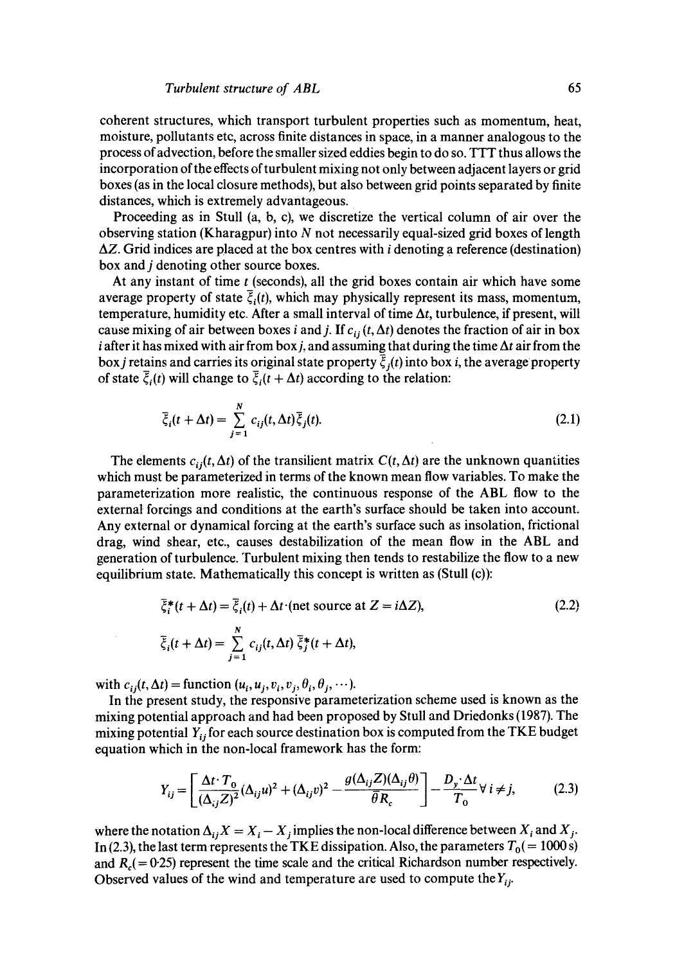coherent structures, which transport turbulent properties such as momentum, heat, moisture, pollutants etc, across finite distances in space, in a manner analogous to the process of advection, before the smaller sized eddies begin to do so. TTT thus allows the incorporation of the effects of turbulent mixing not only between adjacent layers or grid boxes (as in the local closure methods), but also between grid points separated by finite distances, which is extremely advantageous.

Proceeding as in Stull (a, b, c), we discretize the vertical column of air over the observing station (Kharagpur) into N not necessarily equal-sized grid boxes of length  $\Delta Z$ . Grid indices are placed at the box centres with *i* denoting a reference (destination) box and j denoting other source boxes.

At any instant of time  $t$  (seconds), all the grid boxes contain air which have some average property of state  $\bar{\xi}_i(t)$ , which may physically represent its mass, momentum, temperature, humidity etc. After a small interval of time  $\Delta t$ , turbulence, if present, will cause mixing of air between boxes i and j. If  $c_{ii}$  (t,  $\Delta t$ ) denotes the fraction of air in box i after it has mixed with air from box j, and assuming that during the time  $\Delta t$  air from the box *j* retains and carries its original state property  $\bar{\xi}_i(t)$  into box *i*, the average property of state  $\bar{\xi}_i(t)$  will change to  $\bar{\xi}_i(t + \Delta t)$  according to the relation:

$$
\overline{\xi}_i(t + \Delta t) = \sum_{j=1}^N c_{ij}(t, \Delta t) \overline{\xi}_j(t). \tag{2.1}
$$

The elements  $c_{ij}(t, \Delta t)$  of the transilient matrix  $C(t, \Delta t)$  are the unknown quantities which must be parameterized in terms of the known mean flow variables. To make the parameterization more realistic, the continuous response of the ABL flow to the external forcings and conditions at the earth's surface should be taken into account. Any external or dynamical forcing at the earth's surface such as insolation, frictional drag, wind shear, etc., causes destabilization of the mean flow in the ABL and generation of turbulence. Turbulent mixing then tends to restabilize the flow to a new equilibrium state. Mathematically this concept is written as (Stull (c)):

$$
\overline{\xi}_i^*(t + \Delta t) = \overline{\xi}_i(t) + \Delta t \text{ (net source at } Z = i\Delta Z),
$$
\n
$$
\overline{\xi}_i(t + \Delta t) = \sum_{j=1}^N c_{ij}(t, \Delta t) \overline{\xi}_j^*(t + \Delta t),
$$
\n(2.2)

with  $c_{ij}(t, \Delta t)$  = function  $(u_i, u_j, v_i, v_j, \theta_i, \theta_j, \cdots)$ .

In the present study, the responsive parameterization scheme used is known as the mixing potential approach and had been proposed by Stull and Driedonks (1987). The mixing potential  $Y_{ij}$  for each source destination box is computed from the TKE budget equation which in the non-local framework has the form:

$$
Y_{ij} = \left[ \frac{\Delta t \cdot T_0}{(\Delta_{ij} Z)^2} (\Delta_{ij} u)^2 + (\Delta_{ij} v)^2 - \frac{g(\Delta_{ij} Z)(\Delta_{ij} \theta)}{\bar{\theta} R_c} \right] - \frac{D_y \cdot \Delta t}{T_0} \forall i \neq j,
$$
(2.3)

where the notation  $\Delta_{ij}X = X_i - X_j$  implies the non-local difference between  $X_i$  and  $X_j$ . In (2.3), the last term represents the TKE dissipation. Also, the parameters  $T_0 (= 1000 \text{ s})$ and  $R_c$  = 0.25) represent the time scale and the critical Richardson number respectively. Observed values of the wind and temperature are used to compute the  $Y_{ij}$ .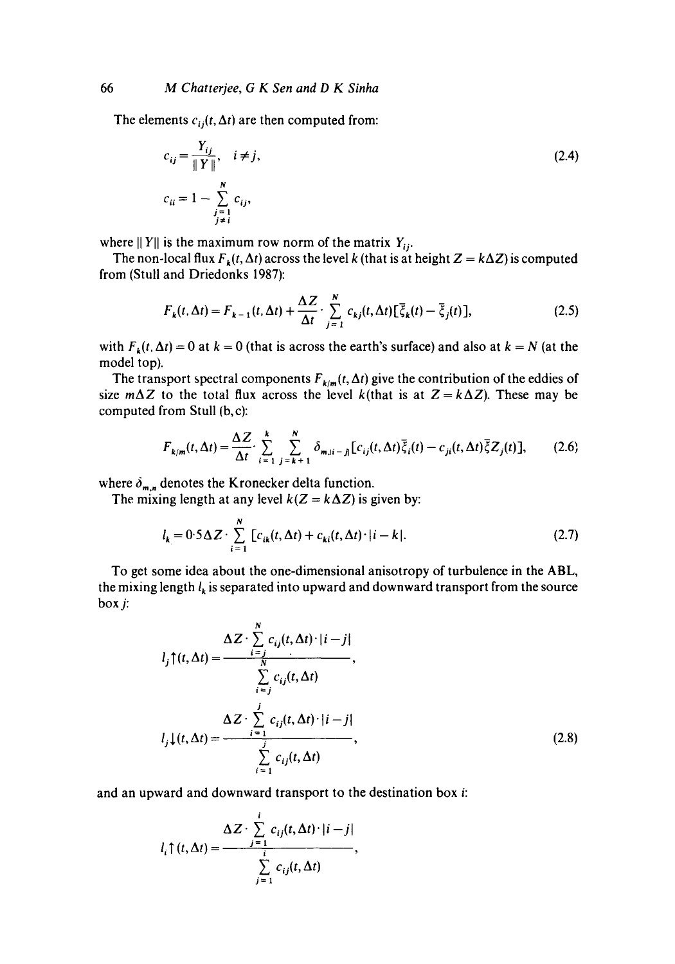The elements  $c_{ij}(t, \Delta t)$  are then computed from:

$$
c_{ij} = \frac{Y_{ij}}{\|Y\|}, \quad i \neq j,
$$
  
\n
$$
c_{ii} = 1 - \sum_{\substack{j=1 \ j \neq i}}^{N} c_{ij},
$$
\n(2.4)

where  $||Y||$  is the maximum row norm of the matrix  $Y_{ij}$ .

The non-local flux  $F_k(t, \Delta t)$  across the level k (that is at height  $Z = k\Delta Z$ ) is computed from (Stuli and Driedonks 1987):

$$
F_k(t, \Delta t) = F_{k-1}(t, \Delta t) + \frac{\Delta Z}{\Delta t} \cdot \sum_{j=1}^N c_{kj}(t, \Delta t) [\overline{\xi}_k(t) - \overline{\xi}_j(t)],
$$
\n(2.5)

with  $F_k(t, \Delta t) = 0$  at  $k = 0$  (that is across the earth's surface) and also at  $k = N$  (at the model top).

The transport spectral components  $F_{k/m}(t, \Delta t)$  give the contribution of the eddies of size  $m\Delta Z$  to the total flux across the level k(that is at  $Z = k\Delta Z$ ). These may be computed from Stull (b,c):

$$
F_{k/m}(t,\Delta t) = \frac{\Delta Z}{\Delta t} \cdot \sum_{i=1}^{k} \sum_{j=k+1}^{N} \delta_{m,i-j} [c_{ij}(t,\Delta t)] \overline{\xi}_{i}(t) - c_{ji}(t,\Delta t) \overline{\xi} Z_{j}(t)],
$$
 (2.6)

where  $\delta_{m,n}$  denotes the Kronecker delta function.

The mixing length at any level  $k(Z = k\Delta Z)$  is given by:

$$
l_k = 0.5\Delta Z \cdot \sum_{i=1}^{N} [c_{ik}(t,\Delta t) + c_{ki}(t,\Delta t) \cdot |i-k|.
$$
 (2.7)

To get some idea about the one-dimensional anisotropy of turbulence in the ABL, the mixing length  $l_k$  is separated into upward and downward transport from the source box j:

$$
l_j \uparrow(t, \Delta t) = \frac{\Delta Z \cdot \sum\limits_{i=j}^{N} c_{ij}(t, \Delta t) \cdot |i - j|}{\sum\limits_{i=j}^{N} c_{ij}(t, \Delta t)},
$$
  

$$
l_j \downarrow(t, \Delta t) = \frac{\Delta Z \cdot \sum\limits_{i=1}^{j} c_{ij}(t, \Delta t) \cdot |i - j|}{\sum\limits_{i=1}^{j} c_{ij}(t, \Delta t)},
$$
(2.8)

and an upward and downward transport to the destination box i:

$$
l_i \uparrow (t, \Delta t) = \frac{\Delta Z \cdot \sum\limits_{j=1}^{i} c_{ij}(t, \Delta t) \cdot |i - j|}{\sum\limits_{j=1}^{i} c_{ij}(t, \Delta t)},
$$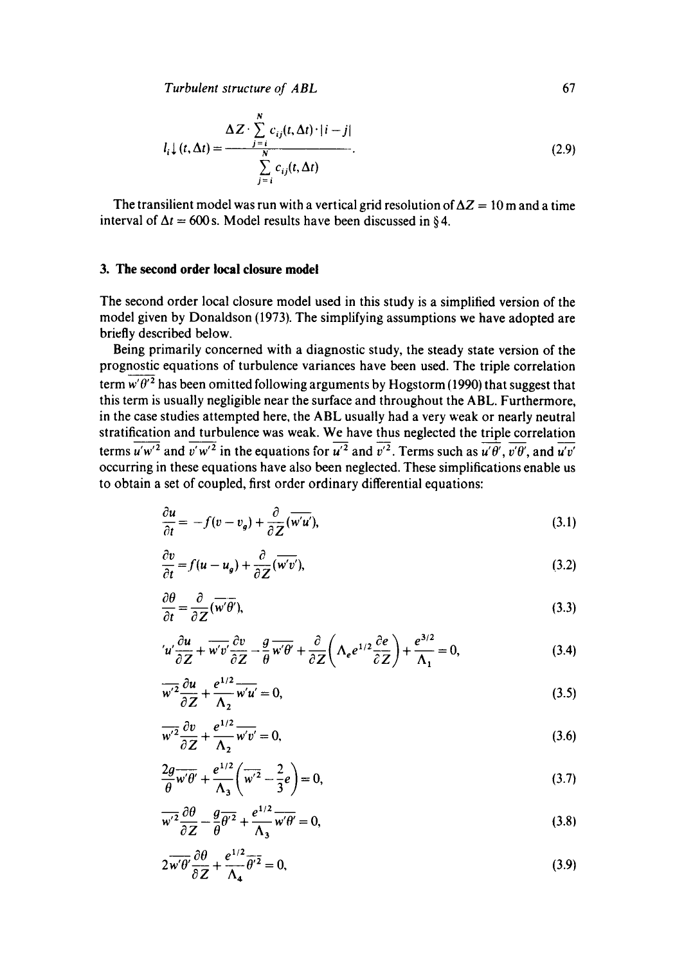*Turbulent structure of ABL* 67

$$
l_i \downarrow (t, \Delta t) = \frac{\Delta Z \cdot \sum\limits_{j=i}^{N} c_{ij}(t, \Delta t) \cdot |i - j|}{\sum\limits_{j=i}^{N} c_{ij}(t, \Delta t)}.
$$
\n(2.9)

The transilient model was run with a vertical grid resolution of  $\Delta Z = 10$  m and a time interval of  $\Delta t = 600$  s. Model results have been discussed in §4.

#### **3. The second order local closure model**

The second order local closure model used in this study is a simplified version of the model given by Donaldson (1973). The simplifying assumptions we have adopted are briefly described below.

Being primarily concerned with a diagnostic study, the steady state version of the prognostic equations of turbulence variances have been used. The triple correlation term  $\overline{w'\theta'^2}$  has been omitted following arguments by Hogstorm (1990) that suggest that this term is usually negligible near the surface and throughout the ABL. Furthermore, in the case studies attempted here, the ABL usually had a very weak or nearly neutral stratification and turbulence was weak. We have thus neglected the triple correlation terms  $u'w'^2$  and  $\overline{v'w'^2}$  in the equations for  $\overline{u'^2}$  and  $\overline{v'^2}$ . Terms such as  $\overline{u'\theta'}$ ,  $\overline{v'\theta'}$ , and  $\overline{u'v'}$ occurring in these equations have also been neglected. These simplifications enable us to obtain a set of coupled, first order ordinary differential equations:

$$
\frac{\partial u}{\partial t} = -f(v - v_g) + \frac{\partial}{\partial Z}(\overline{w'u'}),\tag{3.1}
$$

$$
\frac{\partial v}{\partial t} = f(u - u_g) + \frac{\partial}{\partial Z} (\overline{w'v'}),\tag{3.2}
$$

$$
\frac{\partial \theta}{\partial t} = \frac{\partial}{\partial Z} (\overline{w'} \overline{\theta'}),\tag{3.3}
$$

$$
u'\frac{\partial u}{\partial Z} + \overline{w'v'}\frac{\partial v}{\partial Z} - \frac{g}{\theta}\overline{w'\theta'} + \frac{\partial}{\partial Z}\bigg(\Lambda_e e^{1/2}\frac{\partial e}{\partial Z}\bigg) + \frac{e^{3/2}}{\Lambda_1} = 0,
$$
 (3.4)

$$
\overline{w'^2} \frac{\partial u}{\partial Z} + \frac{e^{1/2}}{\Lambda_2} \overline{w'u'} = 0,
$$
\n(3.5)

$$
\overline{w'^2} \frac{\partial v}{\partial z} + \frac{e^{1/2}}{\Lambda_2} \overline{w'v'} = 0, \tag{3.6}
$$

$$
\frac{2g}{\theta}\overline{w'\theta'} + \frac{e^{1/2}}{\Lambda_3}\left(\overline{w'}^2 - \frac{2}{3}e\right) = 0,\tag{3.7}
$$

$$
\overline{w'^2} \frac{\partial \theta}{\partial z} - \frac{g}{\theta} \overline{\theta'^2} + \frac{e^{1/2}}{\Lambda_3} \overline{w'\theta'} = 0,
$$
\n(3.8)

$$
2\overline{w'\theta'}\frac{\partial\theta}{\partial Z} + \frac{e^{1/2}}{\Lambda_4}\overline{\theta'}^2 = 0,\tag{3.9}
$$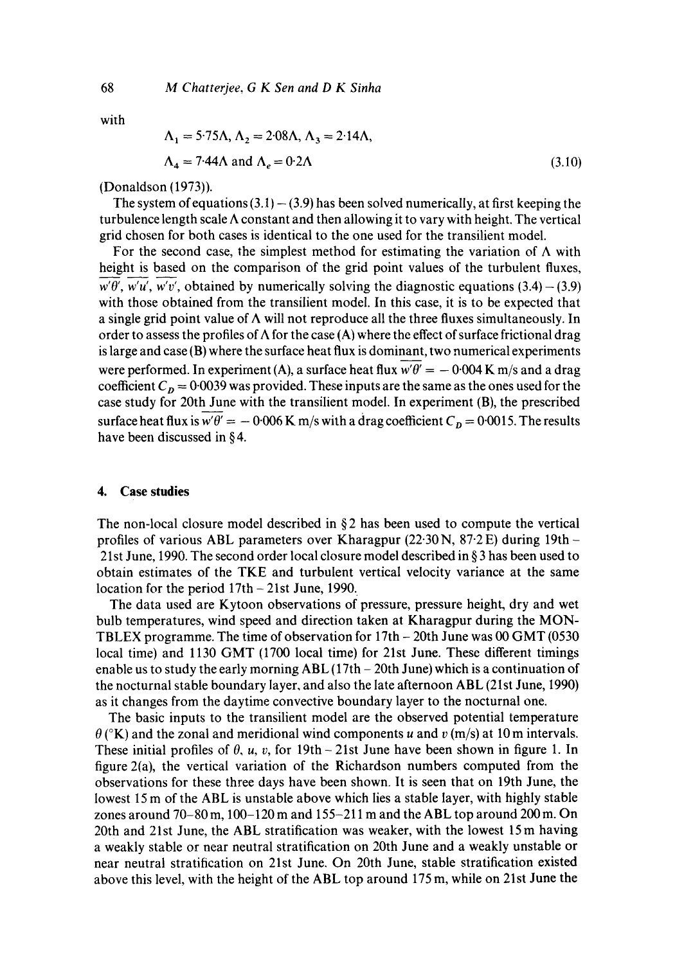with

$$
\Lambda_1 = 5.75 \Lambda, \Lambda_2 = 2.08 \Lambda, \Lambda_3 = 2.14 \Lambda,
$$
  
\n
$$
\Lambda_4 = 7.44 \Lambda \text{ and } \Lambda_e = 0.2 \Lambda
$$
\n(3.10)

(Donaldson (1973)).

The system of equations  $(3.1) - (3.9)$  has been solved numerically, at first keeping the turbulence length scale  $\Lambda$  constant and then allowing it to vary with height. The vertical grid chosen for both cases is identical to the one used for the transilient model.

For the second case, the simplest method for estimating the variation of  $\Lambda$  with height is based on the comparison of the grid point values of the turbulent fluxes,  $w'\theta'$ ,  $w'u'$ ,  $w'v'$ , obtained by numerically solving the diagnostic equations (3.4) – (3.9) with those obtained from the transilient model. In this case, it is to be expected that a single grid point value of  $\Lambda$  will not reproduce all the three fluxes simultaneously. In order to assess the profiles of  $\Lambda$  for the case (A) where the effect of surface frictional drag is large and case (B) where the surface heat flux is dominant, two numerical experiments were performed. In experiment (A), a surface heat flux  $\overline{w'\theta'} = -0.004$  K m/s and a drag coefficient  $C_p = 0.0039$  was provided. These inputs are the same as the ones used for the case study for 20th June with the transilient model. In experiment (B), the prescribed surface heat flux is  $\overline{w'\theta'} = -0.006$  K m/s with a drag coefficient  $C_p = 0.0015$ . The results have been discussed in  $§4$ .

#### **4. Case studies**

The non-local closure model described in  $\S2$  has been used to compute the vertical profiles of various ABL parameters over Kharagpur (22.30 N,  $87.2$  E) during 19th -21st June, 1990. The second order local closure model described in § 3 has been used to obtain estimates of the TKE and turbulent vertical velocity variance at the same location for the period 17th - 21st June, 1990.

The data used are Kytoon observations of pressure, pressure height, dry and wet bulb temperatures, wind speed and direction taken at Kharagpur during the MON-TBLEX programme. The time of observation for 17th - 20th June was 00 GMT (0530 local time) and 1130 GMT (1700 local time) for 21st June. These different timings enable us to study the early morning ABL (17th - 20th June) which is a continuation of the nocturnal stable boundary layer, and also the late afternoon ABL (21st June, 1990) as it changes from the daytime convective boundary layer to the nocturnal one.

The basic inputs to the transilient model are the observed potential temperature  $\theta$  ( $\alpha$ K) and the zonal and meridional wind components u and v (m/s) at 10 m intervals. These initial profiles of  $\theta$ ,  $u$ ,  $v$ , for 19th - 21st June have been shown in figure 1. In figure  $2(a)$ , the vertical variation of the Richardson numbers computed from the observations for these three days have been shown. It is seen that on 19th June, the lowest 15 m of the ABL is unstable above which lies a stable layer, with highly stable zones around 70-80 m, 100-120 m and 155-211 m and the ABL top around 200 m. On 20th and 21st June, the ABL stratification was weaker, with the lowest 15m having a weakly stable or near neutral stratification on 20th June and a weakly unstable or near neutral stratification on 21st June. On 20th June, stable stratification existed above this level, with the height of the ABL top around 175 m, while on 21st June the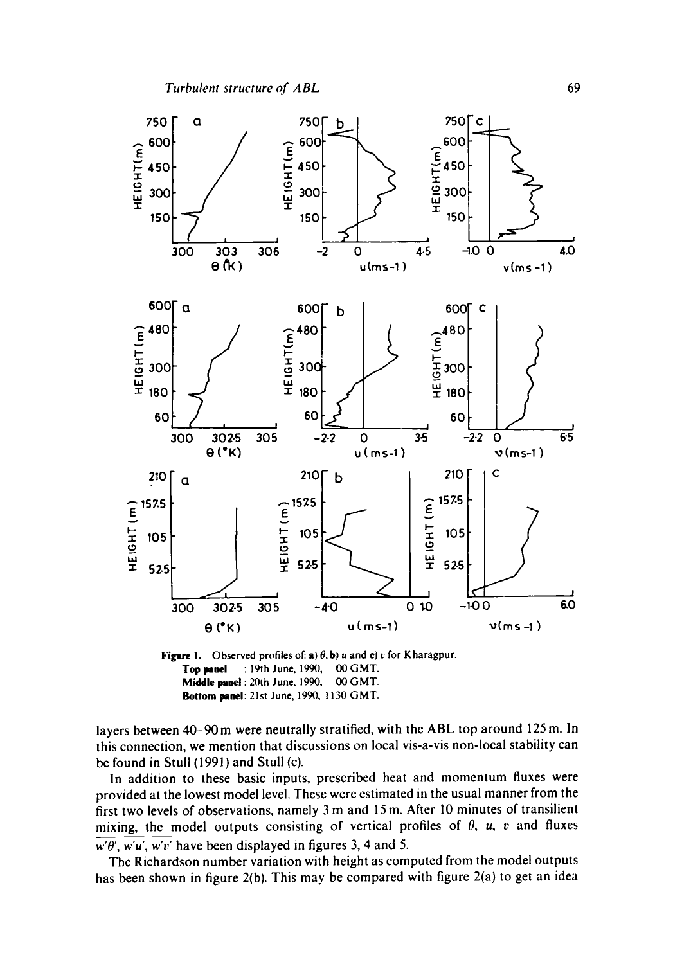

Figure 1. Observed profiles of: a)  $\theta$ , b) *u* and **c**) *v* for Kharagpur. Top panel : 19th June, 1990, 00 GMT. Middle panel : 20th June, 1990, 00 GMT. Bottom panel: 21st June, 1990, 1130 GMT.

layers between 40-90 m were neutrally stratified, with the ABL top around 125 m. In this connection, we mention that discussions on local vis-a-vis non-local stability can be found in Stull (1991) and Stull (c).

In addition to these basic inputs, prescribed heat and momentum fluxes were provided at the lowest model level. These were estimated in the usual manner from the first two levels of observations, namely 3 m and 15 m. After I0 minutes of transilient mixing, the model outputs consisting of vertical profiles of  $\theta$ ,  $u$ ,  $v$  and fluxes  $w'\theta'$ , w'u', w'v' have been displayed in figures 3, 4 and 5.

The Richardson number variation with height as computed from the model outputs has been shown in figure 2(b). This may be compared with figure 2(a) to get an idea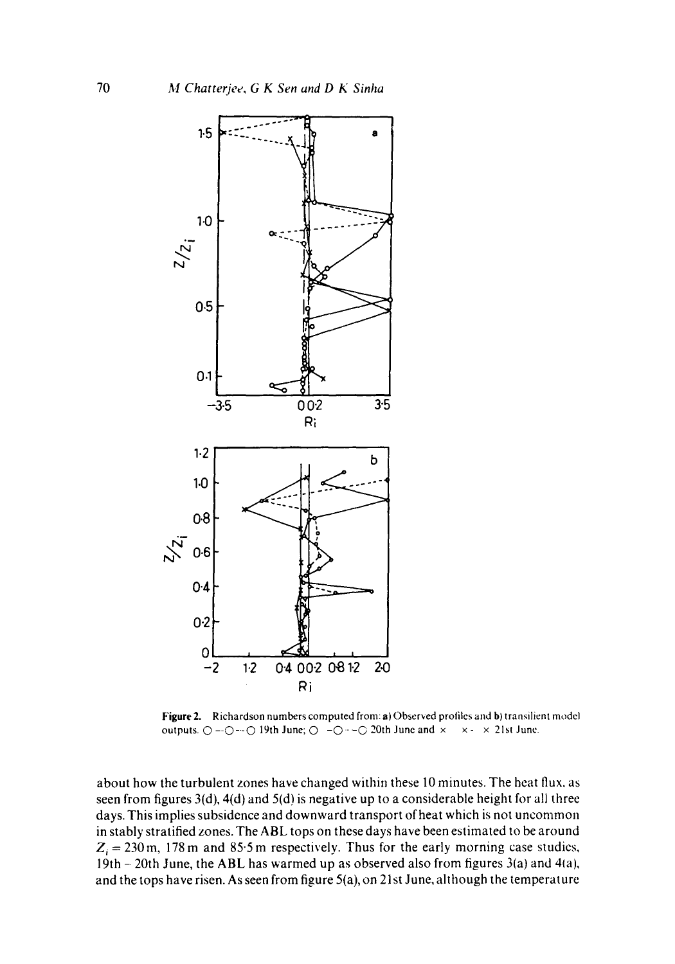

Figure 2. Richardson numbers computed from: a) Observed profiles and b) transilient model outputs.  $\bigcirc$  -- $\bigcirc$  -- $\bigcirc$  19th June;  $\bigcirc$  - $\bigcirc$  - $\bigcirc$  20th June and  $\times$   $\times$   $\times$   $\times$  21st June.

about how the turbulent zones have changed within these 10 minutes. The heat flux. as seen from figures 3(d), 4(d) and 5(d) is negative up to a considerable height for all three days. This implies subsidence and downward transport of heat which is not uncommon in stably stratified zones. The *ABL* tops on these days have been estimated to be around  $Z_i = 230$  m, 178 m and 85.5 m respectively. Thus for the early morning case studies, 19th -20th June, the ABL has warmed up as observed also from figures 3(a) and 41a), and the tops have risen. As seen from figure 5(a), on 21st June, although the temperature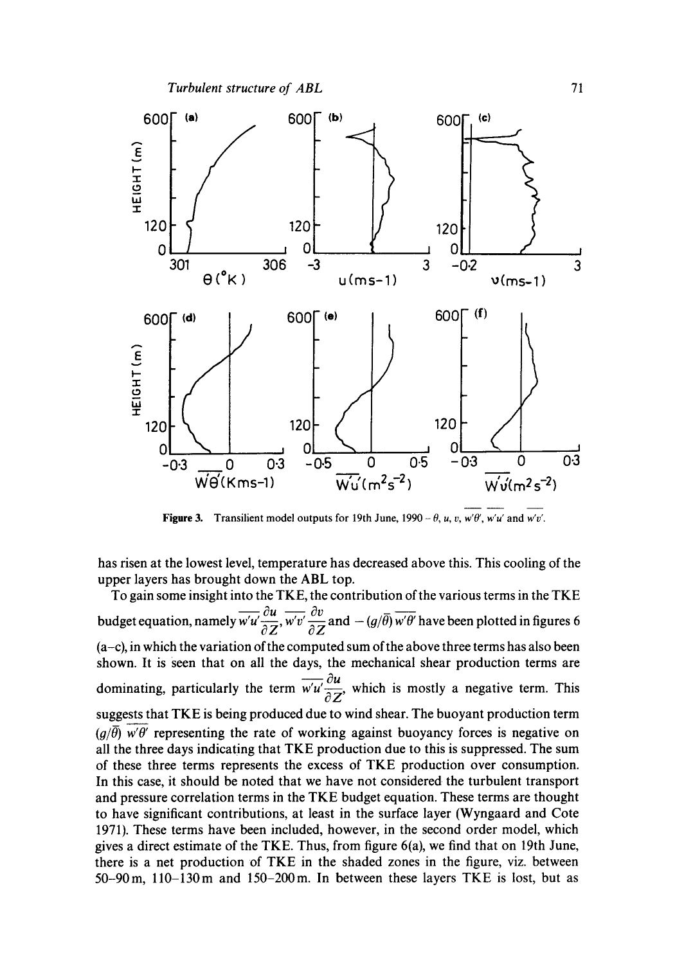



Figure 3. Transilient model outputs for 19th June,  $1990 - \theta$ , u, v, w' $\theta'$ , w'u' and w'v'.

has risen at the lowest level, temperature has decreased above this. This cooling of the upper layers has brought down the ABL top.

To gain some insight into the TKE, the contribution of the various terms in the TKE budget equation, namely  $\overline{w'w'} \frac{\partial u}{\partial \overline{z}}$ ,  $\overline{w'v'} \frac{\partial v}{\partial \overline{z}}$  and  $-(g/\overline{\theta}) \overline{w'\theta'}$  have been plotted in figures 6  $(a-c)$ , in which the variation of the computed sum of the above three terms has also been shown. It is seen that on all the days, the mechanical shear production terms are dominating, particularly the term  $\overline{w'u} \frac{\partial u}{\partial z}$ , which is mostly a negative term. This suggests that TKE is being produced due to wind shear. The buoyant production term  $(q/\bar{\theta})$  w' $\theta'$  representing the rate of working against buoyancy forces is negative on all the three days indicating that TKE production due to this is suppressed. The sum of these three terms represents the excess of TKE production over consumption. In this case, it should be noted that we have not considered the turbulent transport and pressure correlation terms in the TKE budget equation. These terms are thought to have significant contributions, at least in the surface layer (Wyngaard and Cote 1971). These terms have been included, however, in the second order model, which gives a direct estimate of the TKE. Thus, from figure 6(a), we find that on 19th June, there is a net production of TKE in the shaded zones in the figure, viz. between 50-90m, l10-130m and 150-200m. In between these layers TKE is lost, but as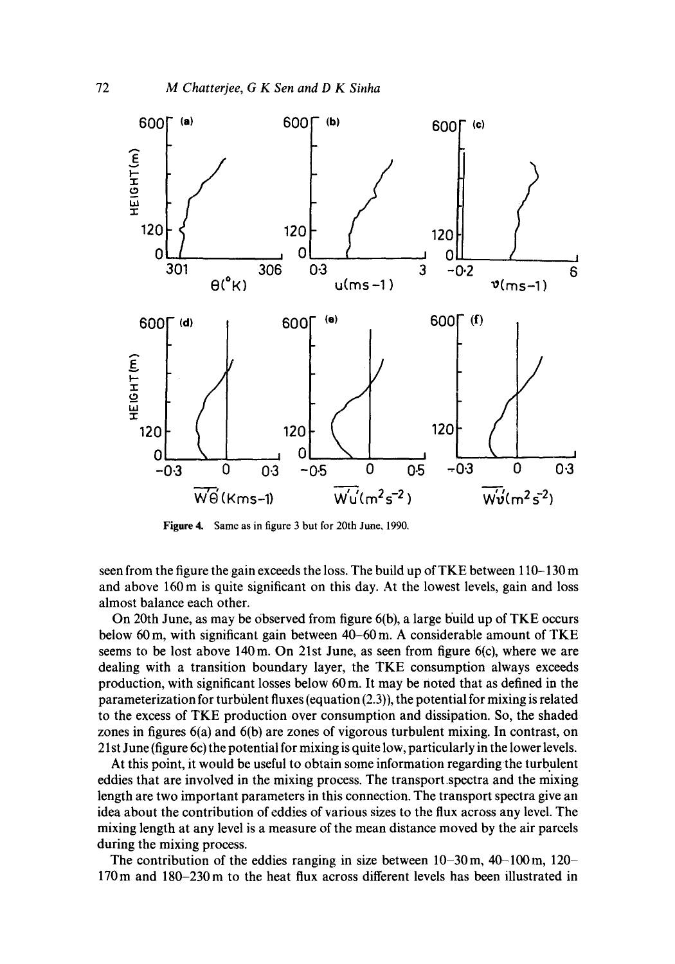

Figure 4. Same as in figure 3 but for 20th June, 1990.

seen from the figure the gain exceeds the loss. The build up of TKE between 110-130 m and above 160 m is quite significant on this day. At the lowest levels, gain and loss almost balance each other.

On 20th June, as may be Observed from figure 6(b), a large build up of TKE occurs below 60 m, with significant gain between 40-60 m. A considerable amount of TKE seems to be lost above 140m. On 21st June, as seen from figure 6(c), where we are dealing with a transition boundary layer, the TKE consumption always exceeds production, with significant losses below 60 m. It may be noted that as defined in the parameterization for turbulent fluxes (equation (2.3)), the potential for mixing is related to the excess of TKE production over consumption and dissipation. So, the shaded zones in figures 6(a) and 6(b) are zones of vigorous turbulent mixing. In contrast, on 21st June (figure 6c) the potential for mixing is quite low, particularly in the lower levels.

At this point, it would be useful to obtain some information regarding the turbulent eddies that are involved in the mixing process. The transport.spectra and the mixing length are two important parameters in this connection. The transport spectra give an idea about the contribution of eddies of various sizes to the flux across any level. The mixing length at any level is a measure of the mean distance moved by the air parcels during the mixing process.

The contribution of the eddies ranging in size between 10-30m, 40-100m, 120- 170m and 180-230m to the heat flux across different levels has been illustrated in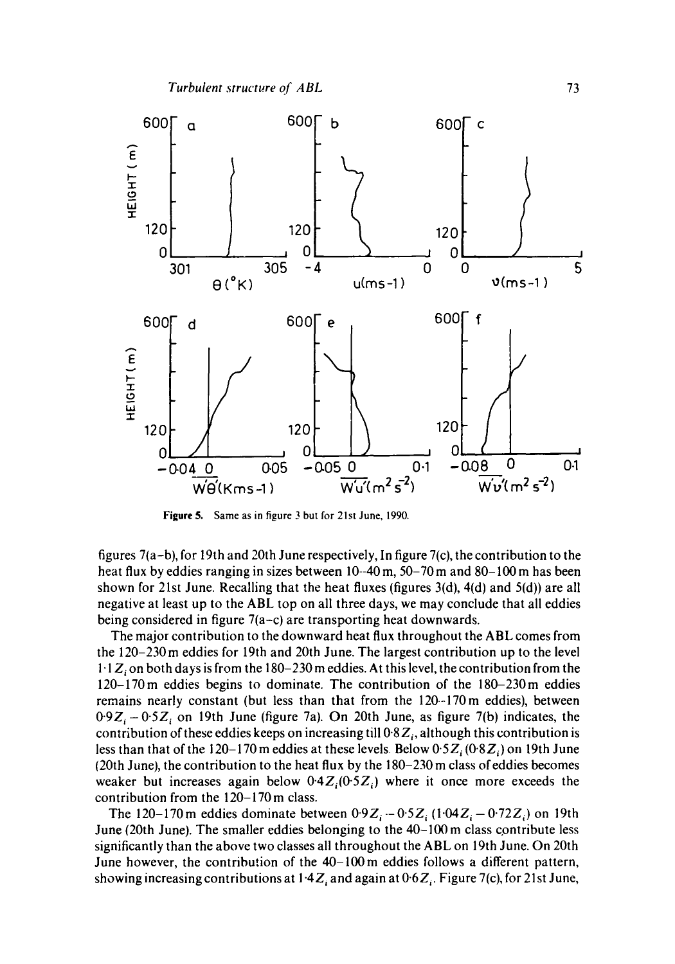

**Figure** 5. Same as in figure 3 but for 21st June, 1990.

figures  $7(a-b)$ , for 19th and 20th June respectively, In figure  $7(c)$ , the contribution to the heat flux by eddies ranging in sizes between 10--40 m, 50-70 m and 80-100 m has been shown for 21st June. Recalling that the heat fluxes (figures  $3(d)$ ,  $4(d)$  and  $5(d)$ ) are all negative at least up to the ABL top on all three days, we may conclude that all eddies being considered in figure 7(a-c) are transporting heat downwards.

The major contribution to the downward heat flux throughout the ABL comes from the 120-230m eddies for 19th and 20th June. The largest contribution up to the level  $1.1Z<sub>i</sub>$  on both days is from the 180-230 m eddies. At this level, the contribution from the 120-170m eddies begins to dominate. The contribution of the 180-230m eddies remains nearly constant (but less than that from the 120--170m eddies), between  $0.9Z_i - 0.5Z_i$  on 19th June (figure 7a). On 20th June, as figure 7(b) indicates, the contribution of these eddies keeps on increasing till  $0.8Z_i$ , although this contribution is less than that of the 120-170 m eddies at these levels. Below  $0.5Z_i (0.8Z_i)$  on 19th June {20th June), the contribution to the heat flux by the 180-230 m class of eddies becomes weaker but increases again below  $0.4Z<sub>i</sub>(0.5Z<sub>i</sub>)$  where it once more exceeds the contribution from the 120-170m class.

The 120-170 m eddies dominate between  $0.9Z_i - 0.5Z_i (1.04Z_i - 0.72Z_i)$  on 19th June (20th June). The smaller eddies belonging to the 40-100 m class contribute less significantly than the above two classes all throughout the ABL on 19th June. On 20th June however, the contribution of the 40-100m eddies follows a different pattern, showing increasing contributions at  $1.4Z_i$  and again at  $0.6Z_i$ . Figure 7(c), for 21st June,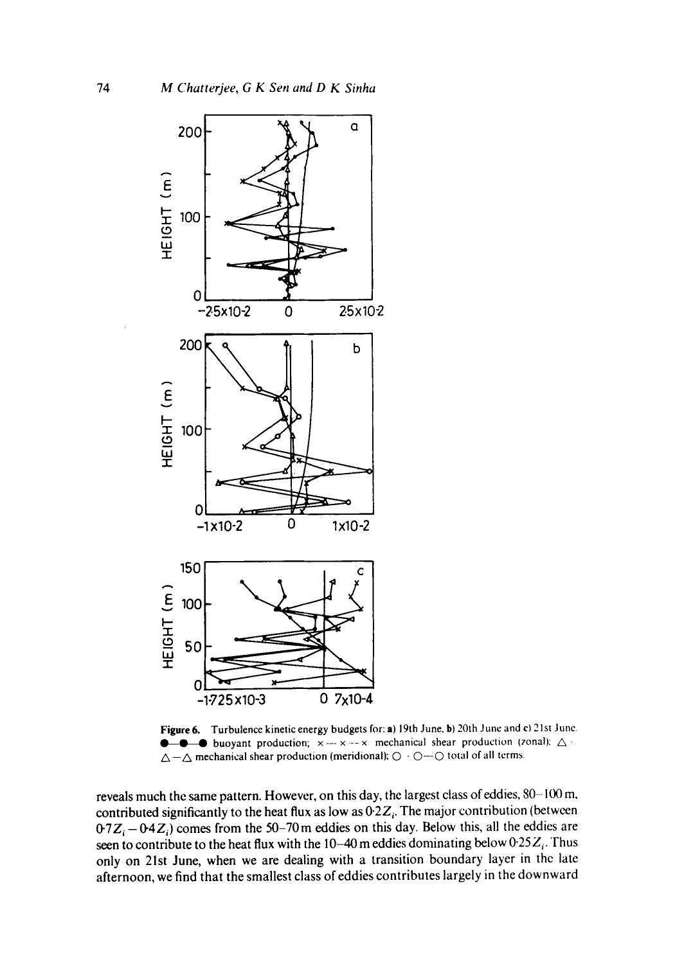

Figure 6. Turbulence kinetic energy budgets for: a) 19th June, b) 20th June and c) 21st June. **e** buoyant production;  $x \rightarrow -x$  --x mechanical shear production (zonal):  $\triangle$  $\Delta-\Delta$  mechanical shear production (meridional);  $\bigcirc$  -  $\bigcirc$  - $\bigcirc$  total of all terms.

reveals much the same pattern. However, on this day, the largest class of eddies, 80-100 m, contributed significantly to the heat flux as low as  $0.2Z_i$ . The major contribution (between  $0.7Z_i - 0.4Z_i$  comes from the 50-70 m eddies on this day. Below this, all the eddies are seen to contribute to the heat flux with the 10-40 m eddies dominating below  $0.25Z_i$ . Thus only on 21st June, when we are dealing with a transition boundary layer in the late afternoon, we find that the smallest class of eddies contributes largely in the downward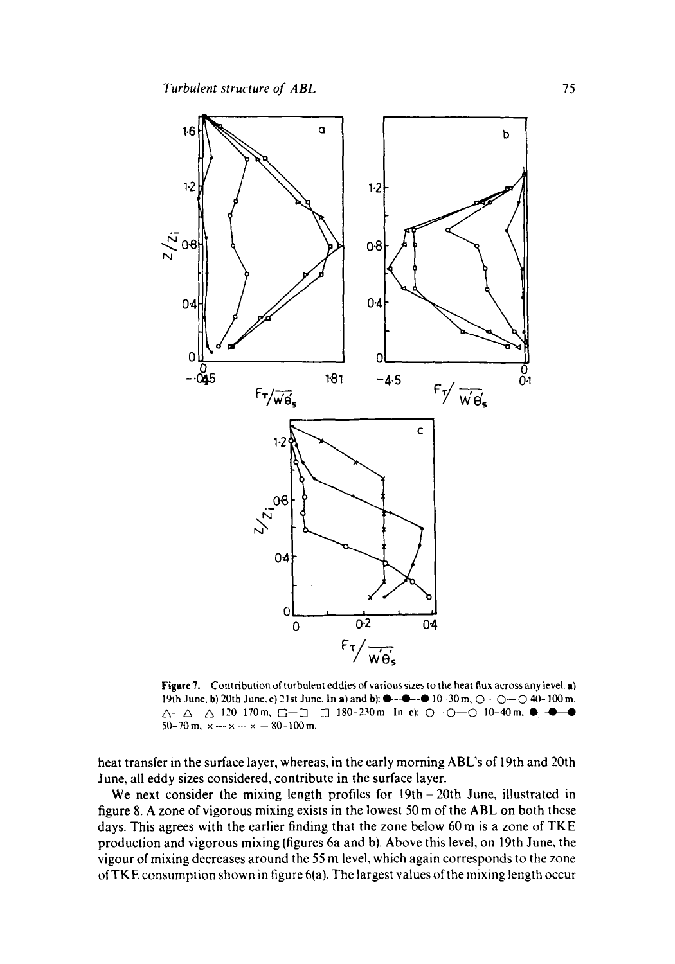

Figare 7. Contribution of turbulent eddies of various sizes to the heat flux across any level: a) 19th June, b) 20th June, c) 21st June. In a) and b):  $\bullet$  -- $\bullet$  -- $\bullet$  10 30 m,  $\bigcirc$  -  $\bigcirc$  - $\bigcirc$  40-100 m.  $\Delta-\Delta-\Delta$  120-170m,  $\Box-\Box-\Box$  180-230m. In cl:  $\bigcirc$ - $\bigcirc$ - $\bigcirc$ - $\bigcirc$ -40m,  $\bigcirc$ - $\bigcirc$ 50-70 m,  $\times -\times -\times -\times -80-100$  m.

heat transfer in the surface layer, whereas, in the early morning ABL's of 19th and 20th June, all eddy sizes considered, contribute in the surface layer.

We next consider the mixing length profiles for 19th - 20th June, illustrated in figure 8. A zone of vigorous mixing exists in the lowest 50 m of the ABL on both these days. This agrees with the earlier finding that the zone below 60 m is a zone of TKE production and vigorous mixing (figures 6a and b). Above this level, on 19th June, the vigour of mixing decreases around the 55 m level, which again corresponds to the zone of TKE consumption shown in figure 6(a). The largest values of the mixing length occur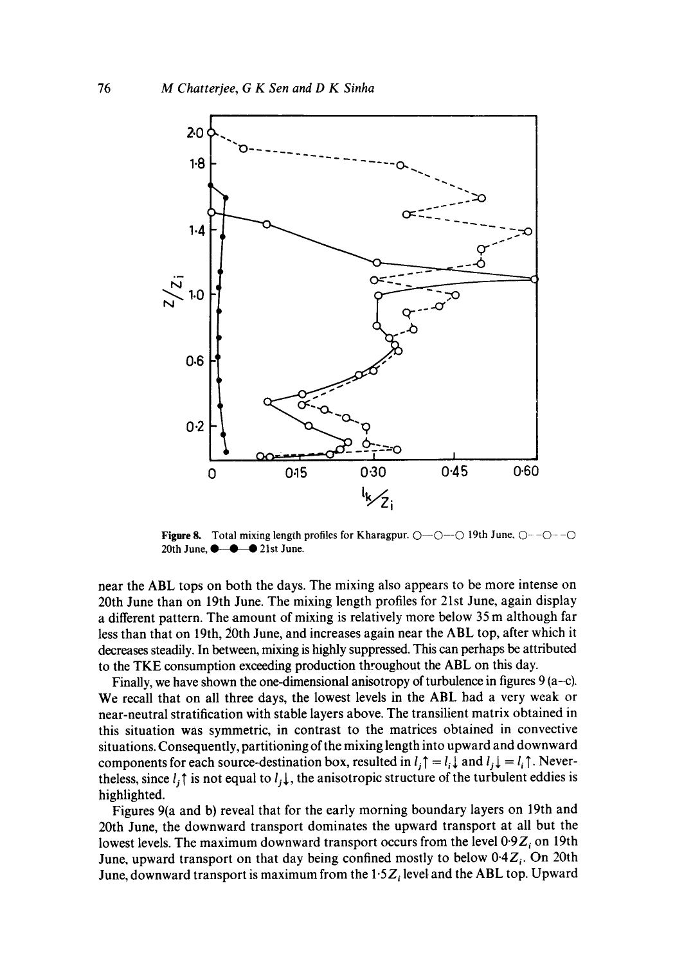

Figure 8. Total mixing length profiles for Kharagpur.  $O-O-O$ - $O$  19th June,  $O--O-O$ 20th June,  $\bullet - \bullet$  21st June.

near the ABL tops on both the days. The mixing also appears to be more intense on 20th June than on 19th June. The mixing length profiles for 21st June, again display a different pattern. The amount of mixing is relatively more below 35 m although far less than that on 19th, 20th June, and increases again near the ABL top, after which it decreases steadily. In between, mixing is highly suppressed. This can perhaps be attributed to the TKE consumption exceeding production throughout the ABL on this day.

Finally, we have shown the one-dimensional anisotropy of turbulence in figures  $9(a-c)$ . We recall that on all three days, the lowest levels in the ABL had a very weak or near-neutral stratification with stable layers above. The transilient matrix obtained in this situation was symmetric, in contrast to the matrices obtained in convective situations. Consequently, partitioning of the mixing length into upward and downward components for each source-destination box, resulted in  $l_i \uparrow = l_i \downarrow$  and  $l_i \downarrow = l_i \uparrow$ . Nevertheless, since  $l_i \uparrow$  is not equal to  $l_i \downarrow$ , the anisotropic structure of the turbulent eddies is highlighted.

Figures 9(a and b) reveal that for the early morning boundary layers on 19th and 20th June, the downward transport dominates the upward transport at all but the lowest levels. The maximum downward transport occurs from the level  $0.9Z_i$  on 19th June, upward transport on that day being confined mostly to below  $0.4Z_i$ . On 20th June, downward transport is maximum from the  $1.5Z_i$  level and the ABL top. Upward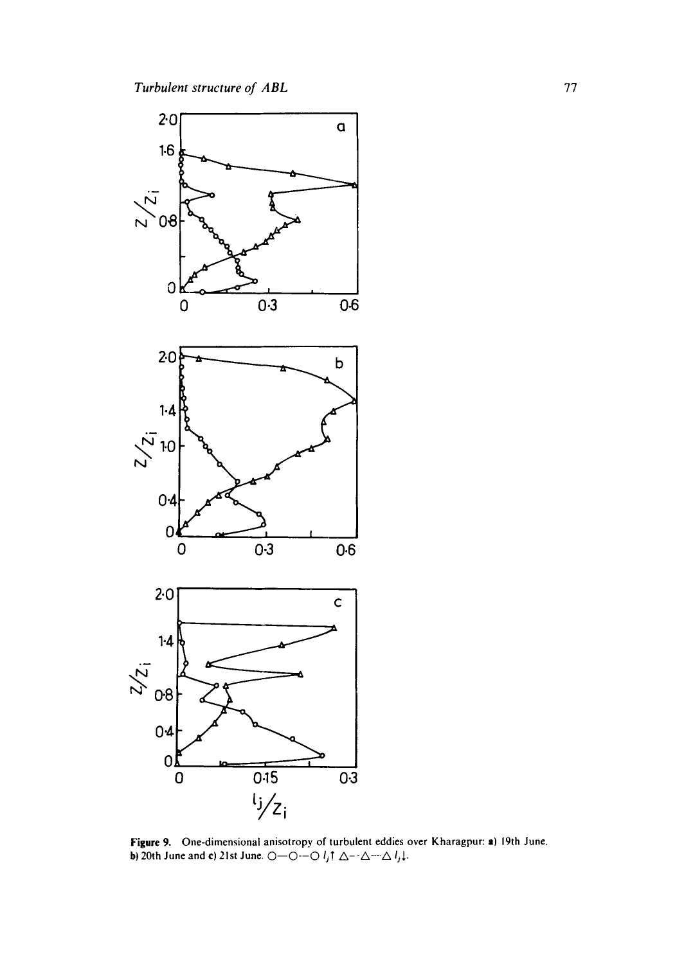

Figure 9. One-dimensional anisotropy of turbulent eddies over Kharagpur: a) 19th June. **b**) 20th June and c) 21st June.  $\bigcirc$  --O---O  $l_i$ **!**  $\Delta$ - $\cdot$  $\Delta$ - $\cdot$  $\Delta$ *l<sub>i</sub>* $\downarrow$ .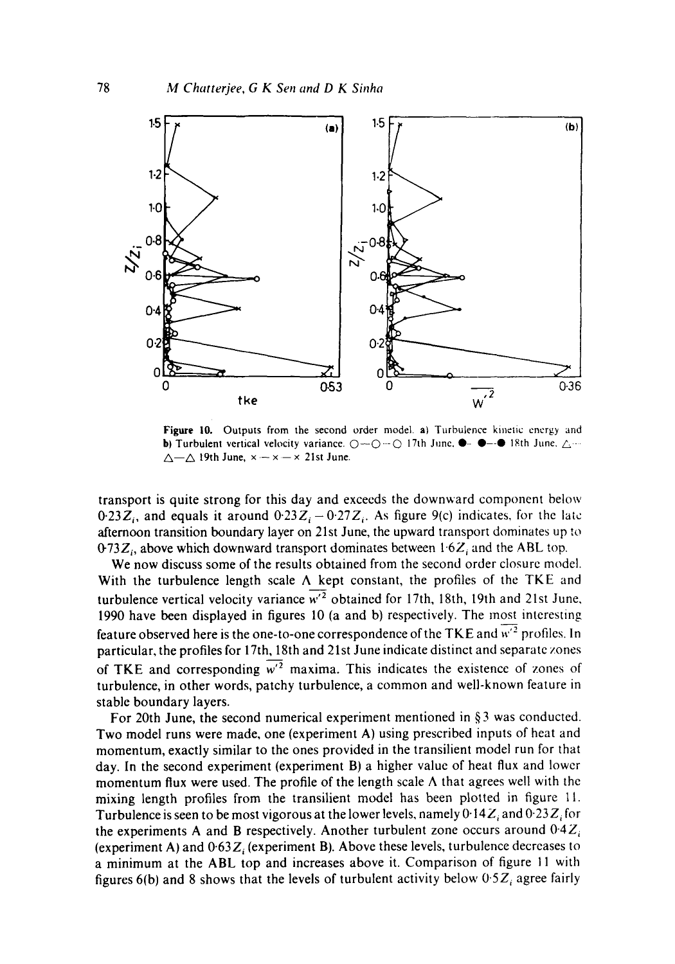

Figure 10. Outputs from the second order model, a) Turbulence kinetic energy and b) Turbulent vertical velocity variance.  $\bigcirc$  -- $\bigcirc$   $\cdot$  17th June,  $\bullet$  -- $\bullet$  18th June,  $\bigcirc$ ....  $\triangle$  - $\triangle$  19th June,  $x - x \times 2$  21st June.

transport is quite strong for this day and exceeds the downward component below 0.23 $Z_i$ , and equals it around  $0.23Z_i - 0.27Z_i$ . As figure 9(c) indicates, for the late afternoon transition boundary layer on 21st June, the upward transport dominates up to  $0.73Z_i$ , above which downward transport dominates between 1.6 $Z_i$  and the ABL top.

We now discuss some of the results obtained from the second order closure model. With the turbulence length scale  $\Lambda$  kept constant, the profiles of the TKE and turbulence vertical velocity variance  $\overline{w'^2}$  obtained for 17th, 18th, 19th and 21st June, 1990 have been displayed in figures 10 (a and b) respectively. The most interesting feature observed here is the one-to-one correspondence of the TKE and  $\overline{w'^2}$  profiles. In particular, the profiles for 17th, 18th and 21st June indicate distinct and separate zones of TKE and corresponding  $\overline{w'}^2$  maxima. This indicates the existence of zones of turbulence, in other words, patchy turbulence, a common and well-known feature in stable boundary layers.

For 20th June, the second numerical experiment mentioned in  $\S 3$  was conducted. Two model runs were made, one (experiment A) using prescribed inputs of heat and momentum, exactly similar to the ones provided in the transilient model run for that day. In the second experiment (experiment B) a higher value of heat flux and lower momentum flux were used. The profile of the length scale  $\Lambda$  that agrees well with the mixing length profiles from the transilient model has been plotted in figure 11. Turbulence is seen to be most vigorous at the lower levels, namely  $0.14Z_i$  and  $0.23Z_i$  for the experiments A and B respectively. Another turbulent zone occurs around  $0.4Z<sub>i</sub>$ (experiment A) and  $0.63Z$ ; (experiment B). Above these levels, turbulence decreases to a minimum at the ABL top and increases above it. Comparison of figure 11 with figures 6(b) and 8 shows that the levels of turbulent activity below  $0.5Z_i$  agree fairly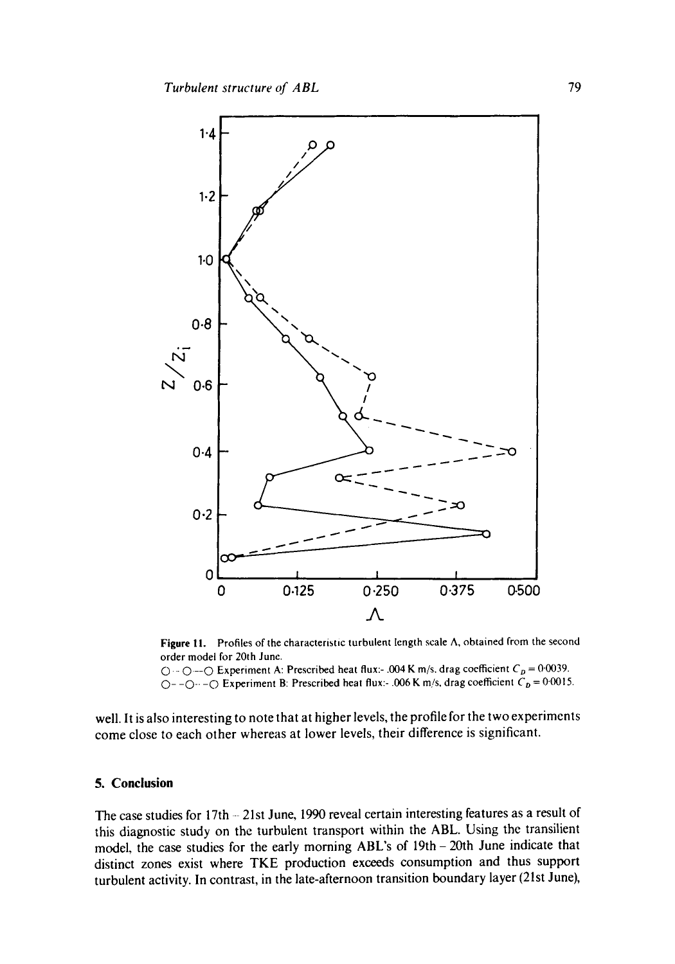

Figure 11. Profiles of the characteristic turbulent length scale  $\Lambda$ , obtained from the second order model for 20th June.

 $\bigcirc$  -- $\bigcirc$  Experiment A: Prescribed heat flux:- .004 K m/s, drag coefficient  $C_p = 0.0039$ .  $\overline{O}$ - $\overline{O}$ - $\overline{O}$  Experiment B: Prescribed heat flux:- .006 K m/s, drag coefficient  $C_p = 0.0015$ .

well. It is also interesting to note that at higher levels, the profile for the two experiments come close to each other whereas at lower levels, their difference is significant.

#### **5. Conclusion**

The case studies for 17th - 21st June, 1990 reveal certain interesting features as a result of this diagnostic study on the turbulent transport within the ABL. Using the transilient model, the case studies for the early morning ABL's of 19th- 20th June indicate that distinct zones exist where TKE production exceeds consumption and thus support turbulent activity. In contrast, in the late-afternoon transition boundary layer (21st June),